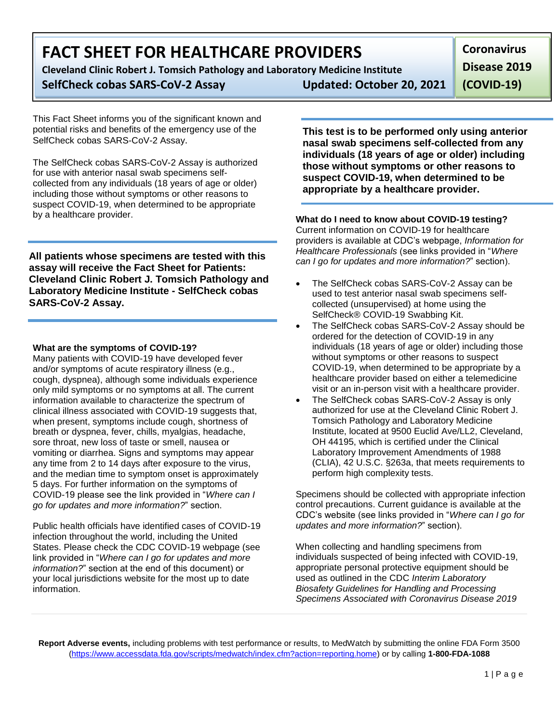# **FACT SHEET FOR HEALTHCARE PROVIDERS**

**Cleveland Clinic Robert J. Tomsich Pathology and Laboratory Medicine Institute**

# **SelfCheck cobas SARS-CoV-2 Assay Updated: October 20, 2021**

**Coronavirus Disease 2019** 

**(COVID-19)**

This Fact Sheet informs you of the significant known and potential risks and benefits of the emergency use of the SelfCheck cobas SARS-CoV-2 Assay.

The SelfCheck cobas SARS-CoV-2 Assay is authorized for use with anterior nasal swab specimens selfcollected from any individuals (18 years of age or older) including those without symptoms or other reasons to suspect COVID-19, when determined to be appropriate by a healthcare provider.

**All patients whose specimens are tested with this assay will receive the Fact Sheet for Patients: Cleveland Clinic Robert J. Tomsich Pathology and Laboratory Medicine Institute - SelfCheck cobas SARS-CoV-2 Assay.**

### **What are the symptoms of COVID-19?**

Many patients with COVID-19 have developed fever and/or symptoms of acute respiratory illness (e.g., cough, dyspnea), although some individuals experience only mild symptoms or no symptoms at all. The current information available to characterize the spectrum of clinical illness associated with COVID-19 suggests that, when present, symptoms include cough, shortness of breath or dyspnea, fever, chills, myalgias, headache, sore throat, new loss of taste or smell, nausea or vomiting or diarrhea. Signs and symptoms may appear any time from 2 to 14 days after exposure to the virus, and the median time to symptom onset is approximately 5 days. For further information on the symptoms of COVID-19 please see the link provided in "*Where can I go for updates and more information?*" section.

Public health officials have identified cases of COVID-19 infection throughout the world, including the United States. Please check the CDC COVID-19 webpage (see link provided in "*Where can I go for updates and more information?*" section at the end of this document) or your local jurisdictions website for the most up to date information.

**This test is to be performed only using anterior nasal swab specimens self-collected from any individuals (18 years of age or older) including those without symptoms or other reasons to suspect COVID-19, when determined to be appropriate by a healthcare provider.**

## **What do I need to know about COVID-19 testing?**

Current information on COVID-19 for healthcare providers is available at CDC's webpage, *Information for Healthcare Professionals* (see links provided in "*Where can I go for updates and more information?*" section).

- The SelfCheck cobas SARS-CoV-2 Assay can be used to test anterior nasal swab specimens selfcollected (unsupervised) at home using the SelfCheck® COVID-19 Swabbing Kit.
- The SelfCheck cobas SARS-CoV-2 Assay should be ordered for the detection of COVID-19 in any individuals (18 years of age or older) including those without symptoms or other reasons to suspect COVID-19, when determined to be appropriate by a healthcare provider based on either a telemedicine visit or an in-person visit with a healthcare provider.
- The SelfCheck cobas SARS-CoV-2 Assay is only authorized for use at the Cleveland Clinic Robert J. Tomsich Pathology and Laboratory Medicine Institute, located at 9500 Euclid Ave/LL2, Cleveland, OH 44195, which is certified under the Clinical Laboratory Improvement Amendments of 1988 (CLIA), 42 U.S.C. §263a, that meets requirements to perform high complexity tests.

Specimens should be collected with appropriate infection control precautions. Current guidance is available at the CDC's website (see links provided in "*Where can I go for updates and more information?*" section).

When collecting and handling specimens from individuals suspected of being infected with COVID-19, appropriate personal protective equipment should be used as outlined in the CDC *Interim Laboratory Biosafety Guidelines for Handling and Processing Specimens Associated with Coronavirus Disease 2019* 

**Report Adverse events,** including problems with test performance or results, to MedWatch by submitting the online FDA Form 3500 [\(https://www.accessdata.fda.gov/scripts/medwatch/index.cfm?action=reporting.home\)](https://www.accessdata.fda.gov/scripts/medwatch/index.cfm?action=reporting.home) or by calling **1-800-FDA-1088**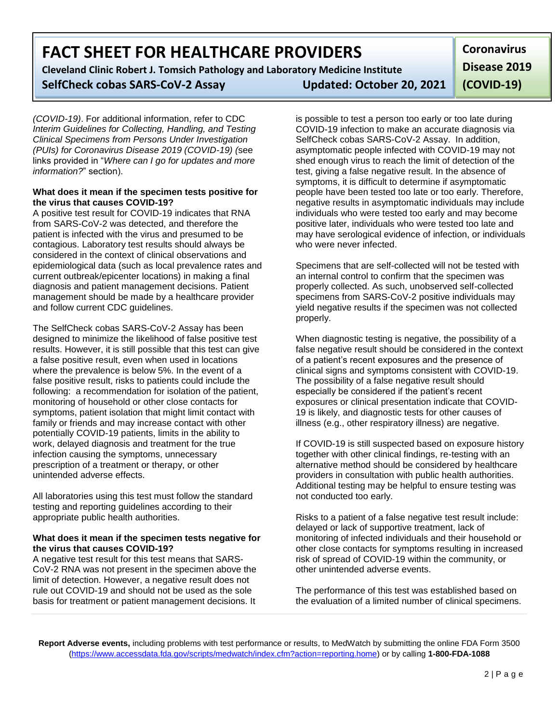# **FACT SHEET FOR HEALTHCARE PROVIDERS**

**Cleveland Clinic Robert J. Tomsich Pathology and Laboratory Medicine Institute SelfCheck cobas SARS-CoV-2 Assay Updated: October 20, 2021**

*(COVID-19)*. For additional information, refer to CDC *Interim Guidelines for Collecting, Handling, and Testing Clinical Specimens from Persons Under Investigation (PUIs) for Coronavirus Disease 2019 (COVID-19) (*see links provided in "*Where can I go for updates and more information?*" section).

#### **What does it mean if the specimen tests positive for the virus that causes COVID-19?**

A positive test result for COVID-19 indicates that RNA from SARS-CoV-2 was detected, and therefore the patient is infected with the virus and presumed to be contagious. Laboratory test results should always be considered in the context of clinical observations and epidemiological data (such as local prevalence rates and current outbreak/epicenter locations) in making a final diagnosis and patient management decisions. Patient management should be made by a healthcare provider and follow current CDC guidelines.

The SelfCheck cobas SARS-CoV-2 Assay has been designed to minimize the likelihood of false positive test results. However, it is still possible that this test can give a false positive result, even when used in locations where the prevalence is below 5%. In the event of a false positive result, risks to patients could include the following: a recommendation for isolation of the patient, monitoring of household or other close contacts for symptoms, patient isolation that might limit contact with family or friends and may increase contact with other potentially COVID-19 patients, limits in the ability to work, delayed diagnosis and treatment for the true infection causing the symptoms, unnecessary prescription of a treatment or therapy, or other unintended adverse effects.

All laboratories using this test must follow the standard testing and reporting guidelines according to their appropriate public health authorities.

#### **What does it mean if the specimen tests negative for the virus that causes COVID-19?**

A negative test result for this test means that SARS-CoV-2 RNA was not present in the specimen above the limit of detection. However, a negative result does not rule out COVID-19 and should not be used as the sole basis for treatment or patient management decisions. It

is possible to test a person too early or too late during COVID-19 infection to make an accurate diagnosis via SelfCheck cobas SARS-CoV-2 Assay. In addition, asymptomatic people infected with COVID-19 may not shed enough virus to reach the limit of detection of the test, giving a false negative result. In the absence of symptoms, it is difficult to determine if asymptomatic people have been tested too late or too early. Therefore, negative results in asymptomatic individuals may include individuals who were tested too early and may become positive later, individuals who were tested too late and may have serological evidence of infection, or individuals who were never infected.

Specimens that are self-collected will not be tested with an internal control to confirm that the specimen was properly collected. As such, unobserved self-collected specimens from SARS-CoV-2 positive individuals may yield negative results if the specimen was not collected properly.

When diagnostic testing is negative, the possibility of a false negative result should be considered in the context of a patient's recent exposures and the presence of clinical signs and symptoms consistent with COVID-19. The possibility of a false negative result should especially be considered if the patient's recent exposures or clinical presentation indicate that COVID-19 is likely, and diagnostic tests for other causes of illness (e.g., other respiratory illness) are negative.

If COVID-19 is still suspected based on exposure history together with other clinical findings, re-testing with an alternative method should be considered by healthcare providers in consultation with public health authorities. Additional testing may be helpful to ensure testing was not conducted too early.

Risks to a patient of a false negative test result include: delayed or lack of supportive treatment, lack of monitoring of infected individuals and their household or other close contacts for symptoms resulting in increased risk of spread of COVID-19 within the community, or other unintended adverse events.

The performance of this test was established based on the evaluation of a limited number of clinical specimens.

**Report Adverse events,** including problems with test performance or results, to MedWatch by submitting the online FDA Form 3500 [\(https://www.accessdata.fda.gov/scripts/medwatch/index.cfm?action=reporting.home\)](https://www.accessdata.fda.gov/scripts/medwatch/index.cfm?action=reporting.home) or by calling **1-800-FDA-1088**

**Coronavirus Disease 2019 (COVID-19)**